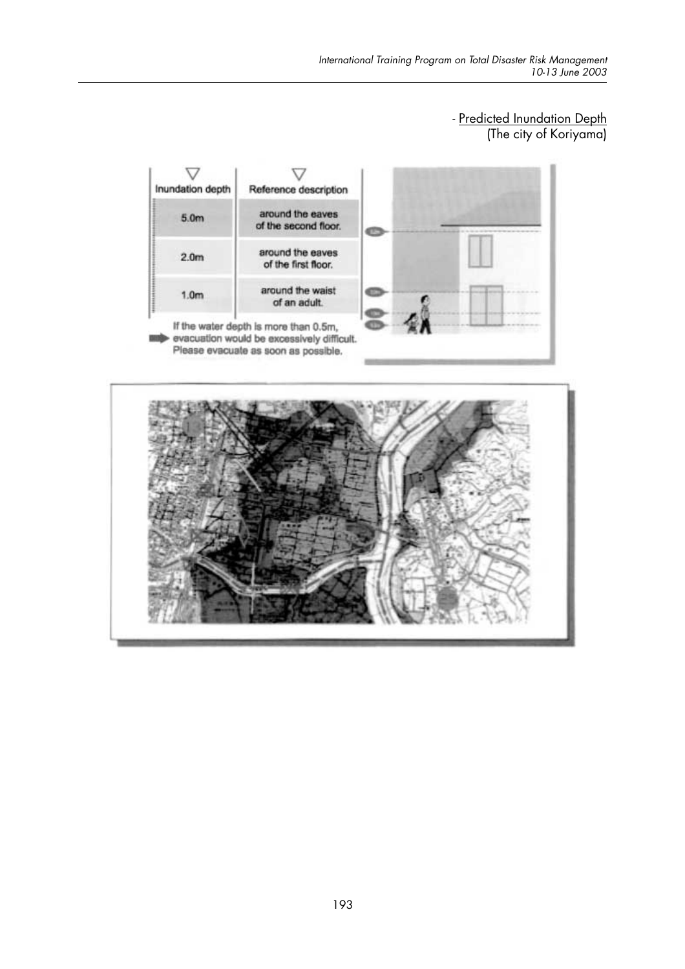## - <u>Predicted Inundation Depth</u><br>(The city of Koriyama)



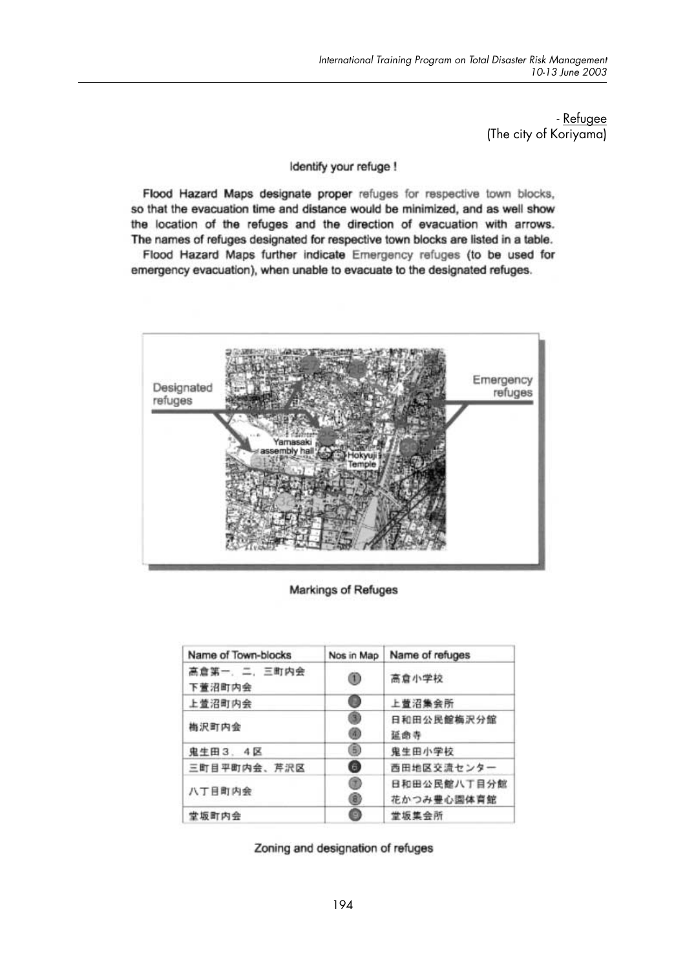- Refugee (The city of Koriyama)

#### Identify your refuge !

Flood Hazard Maps designate proper refuges for respective town blocks, so that the evacuation time and distance would be minimized, and as well show the location of the refuges and the direction of evacuation with arrows. The names of refuges designated for respective town blocks are listed in a table. Flood Hazard Maps further indicate Emergency refuges (to be used for

emergency evacuation), when unable to evacuate to the designated refuges.



Markings of Refuges

| Name of Town-blocks   | Nos in Map | Name of refuges           |
|-----------------------|------------|---------------------------|
| 高倉第一、二、三町内会<br>下萱沼町内会 | ◉          | 高倉小学校                     |
| 上萱沼町内会                | ❶          | 上萱沼集会所                    |
| 梅沢町内会                 | @<br>⊛     | 日和田公民館梅沢分館<br>延曲寺         |
| 鬼生田3.4区               | ⊛          | 鬼生田小学校                    |
| 三町目平町内会、芹沢区           | ◉          | 西田地区交流センター                |
| 八丁目町内会                | ◉<br>◉     | 日和田公民館八丁目分館<br>花かつみ豊心園体育館 |
| 堂坂町内会                 | ø          | 堂坂集会所                     |

Zoning and designation of refuges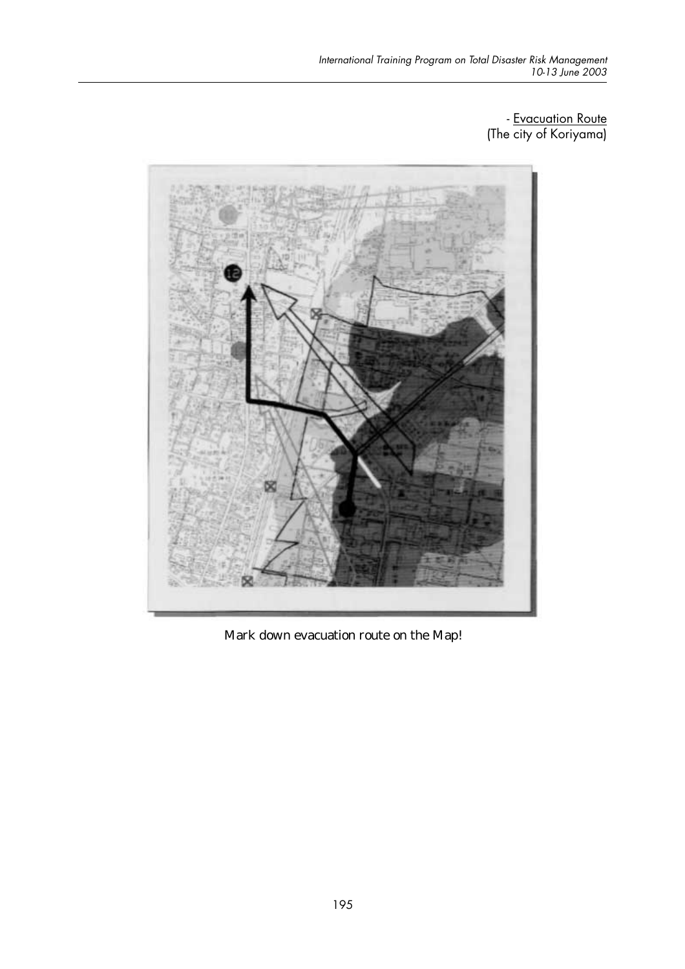- Evacuation Route (The city of Koriyama)



Mark down evacuation route on the Map!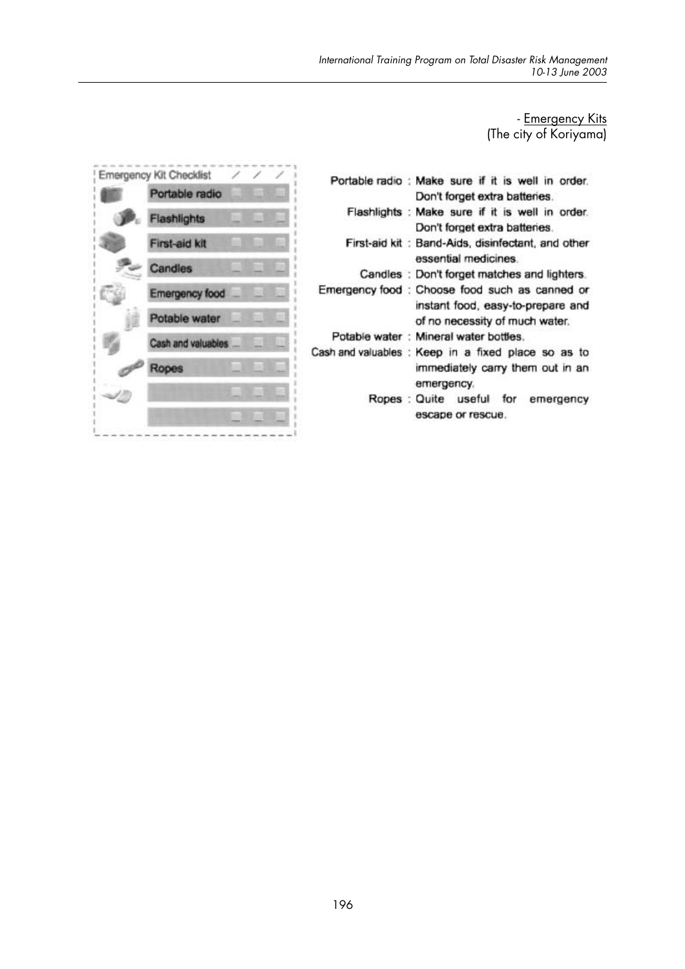# Emergency Kits -<br>(The city of Koriyama)



| Portable radio : Make sure if it is well in order.<br>Don't forget extra batteries.                                   |
|-----------------------------------------------------------------------------------------------------------------------|
| Flashlights : Make sure if it is well in order.<br>Don't forget extra batteries.                                      |
| First-aid kit: Band-Aids, disinfectant, and other<br>essential medicines.                                             |
| Candles: Don't forget matches and lighters.                                                                           |
| Emergency food : Choose food such as canned or<br>instant food, easy-to-prepare and<br>of no necessity of much water. |
| Potable water: Mineral water bottles.                                                                                 |
| Cash and valuables: Keep in a fixed place so as to<br>immediately carry them out in an<br>emergency.                  |
| Ropes: Quite useful for<br>emergency<br>escape or rescue.                                                             |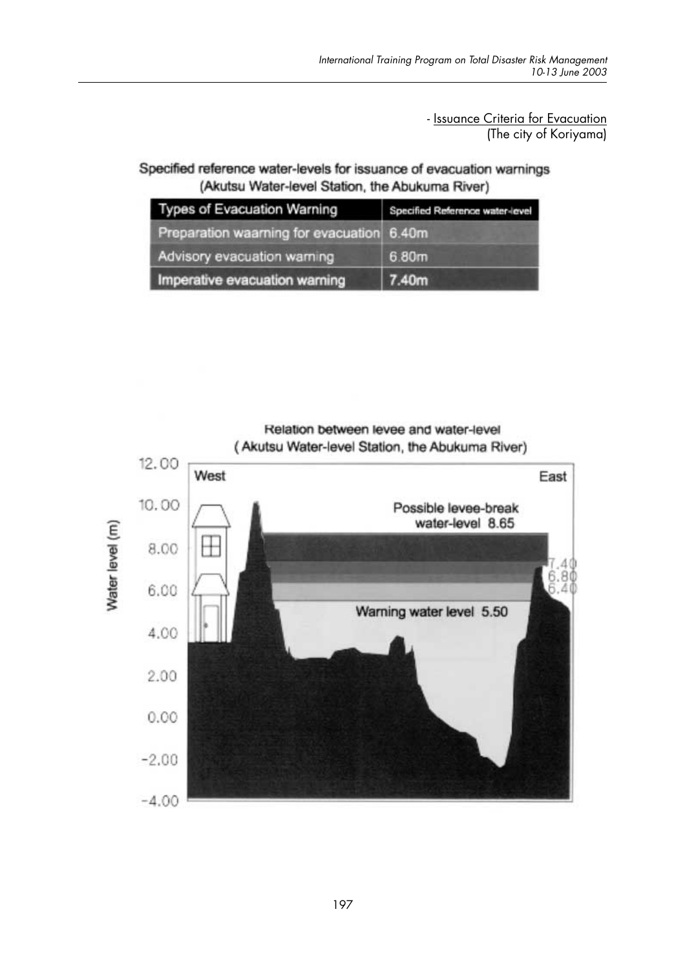- Issuance Criteria for Evacuation (The city of Koriyama)

Specified reference water-levels for issuance of evacuation warnings (Akutsu Water-level Station, the Abukuma River)

| Types of Evacuation Warning               | Specified Reference water-level |
|-------------------------------------------|---------------------------------|
| Preparation waarning for evacuation 6.40m |                                 |
| Advisory evacuation warning               | 6.80m                           |
| Imperative evacuation warning             | 7.40m                           |



Relation between levee and water-level (Akutsu Water-level Station, the Abukuma River)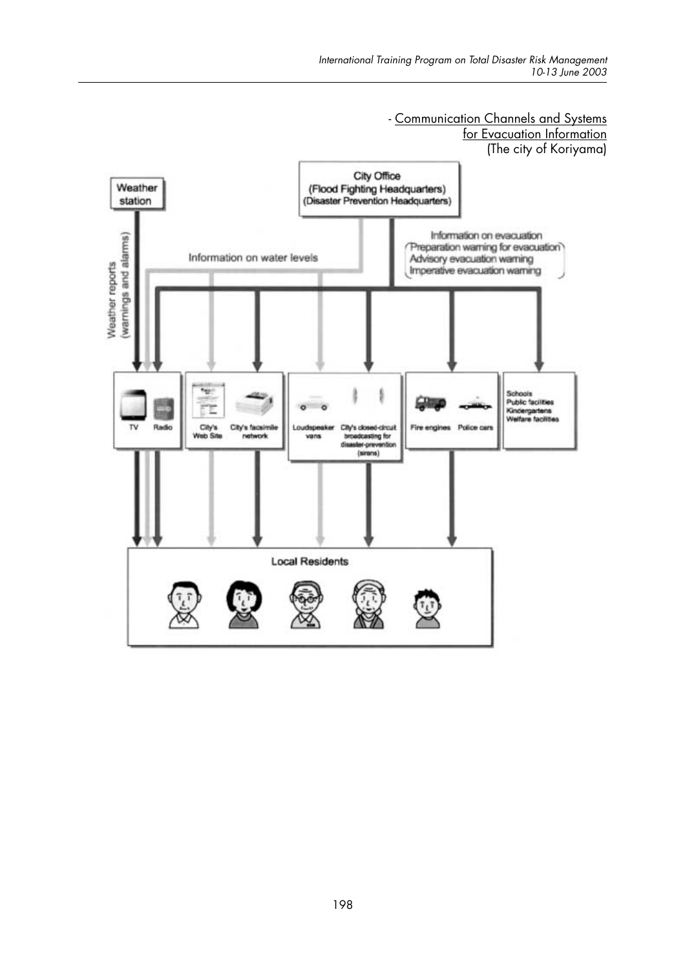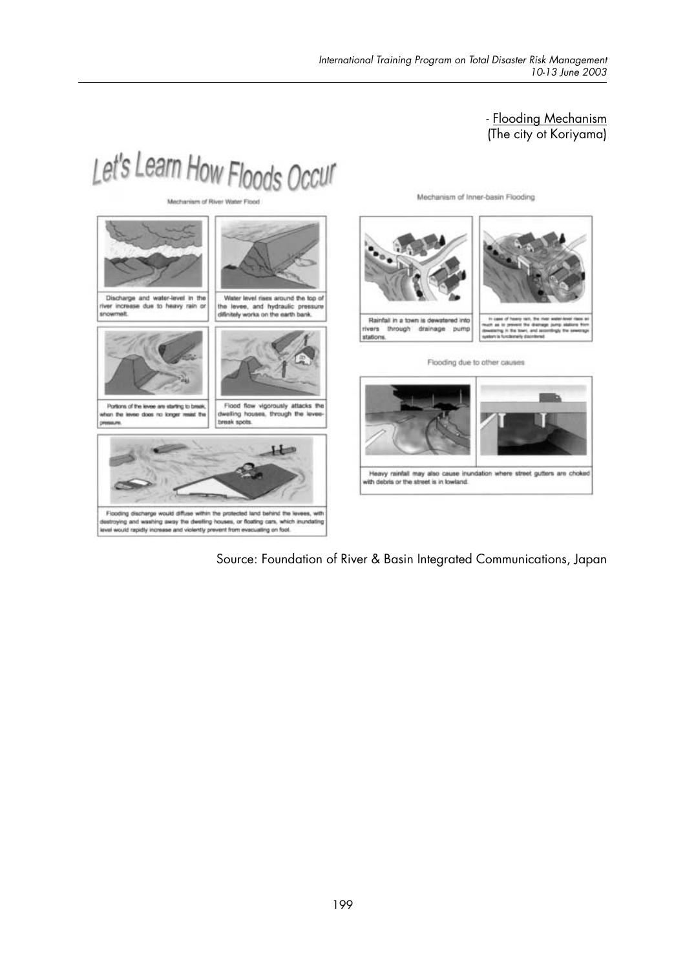### - Flooding Mechanism<br>(The city ot Koriyama)



Source: Foundation of River & Basin Integrated Communications, Japan